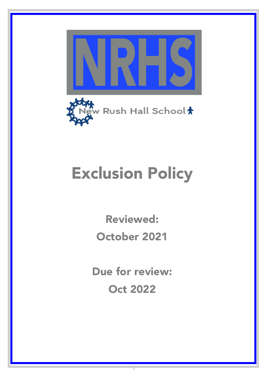



# Exclusion Policy

Reviewed: October 2021

Due for review: Oct 2022

1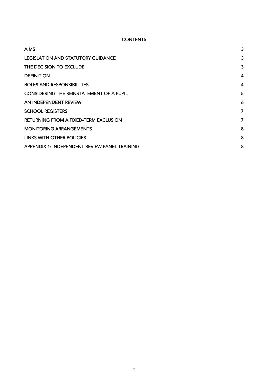## **CONTENTS**

| <b>AIMS</b>                                     | 3              |
|-------------------------------------------------|----------------|
| <b>LEGISLATION AND STATUTORY GUIDANCE</b>       | $\mathbf{3}$   |
| THE DECISION TO EXCLUDE                         | 3              |
| <b>DEFINITION</b>                               | 4              |
| ROLES AND RESPONSIBILITIES                      | 4              |
| <b>CONSIDERING THE REINSTATEMENT OF A PUPIL</b> | 5              |
| AN INDEPENDENT REVIEW                           | 6              |
| <b>SCHOOL REGISTERS</b>                         | 7              |
| <b>RETURNING FROM A FIXED-TERM EXCLUSION</b>    | $\overline{7}$ |
| <b>MONITORING ARRANGEMENTS</b>                  | 8              |
| LINKS WITH OTHER POLICIES                       | 8              |
| APPENDIX 1: INDEPENDENT REVIEW PANEL TRAINING   | 8              |
|                                                 |                |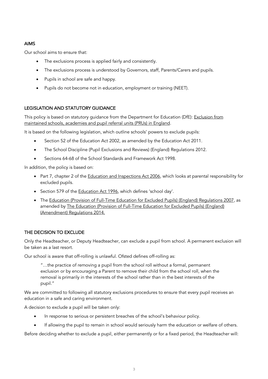## AIMS

Our school aims to ensure that:

- The exclusions process is applied fairly and consistently.
- The exclusions process is understood by Governors, staff, Parents/Carers and pupils.
- Pupils in school are safe and happy.
- Pupils do not become not in education, employment or training (NEET).

## LEGISLATION AND STATUTORY GUIDANCE

This policy is based on statutory guidance from the Department for Education (DfE): Exclusion from maintained schools, academies and pupil referral units (PRUs) in England.

It is based on the following legislation, which outline schools' powers to exclude pupils:

- Section 52 of the Education Act 2002, as amended by the Education Act 2011.
- The School Discipline (Pupil Exclusions and Reviews) (England) Regulations 2012.
- Sections 64-68 of the School Standards and Framework Act 1998.

In addition, the policy is based on:

- Part 7, chapter 2 of the Education and Inspections Act 2006, which looks at parental responsibility for excluded pupils.
- Section 579 of the Education Act 1996, which defines 'school day'.
- The Education (Provision of Full-Time Education for Excluded Pupils) (England) Regulations 2007, as amended by The Education (Provision of Full-Time Education for Excluded Pupils) (England) (Amendment) Regulations 2014.

### THE DECISION TO EXCLUDE

Only the Headteacher, or Deputy Headteacher, can exclude a pupil from school. A permanent exclusion will be taken as a last resort.

Our school is aware that off-rolling is unlawful. Ofsted defines off-rolling as:

"…the practice of removing a pupil from the school roll without a formal, permanent exclusion or by encouraging a Parent to remove their child from the school roll, when the removal is primarily in the interests of the school rather than in the best interests of the pupil."

We are committed to following all statutory exclusions procedures to ensure that every pupil receives an education in a safe and caring environment.

A decision to exclude a pupil will be taken only:

- In response to serious or persistent breaches of the school's behaviour policy.
- If allowing the pupil to remain in school would seriously harm the education or welfare of others.

Before deciding whether to exclude a pupil, either permanently or for a fixed period, the Headteacher will: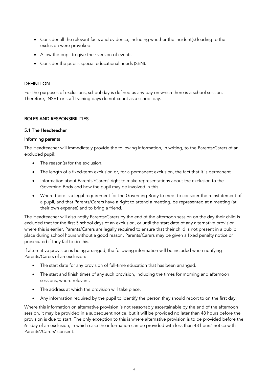- Consider all the relevant facts and evidence, including whether the incident(s) leading to the exclusion were provoked.
- Allow the pupil to give their version of events.
- Consider the pupils special educational needs (SEN).

#### **DEFINITION**

For the purposes of exclusions, school day is defined as any day on which there is a school session. Therefore, INSET or staff training days do not count as a school day.

#### ROLES AND RESPONSIBILITIES

#### 5.1 The Headteacher

#### Informing parents

The Headteacher will immediately provide the following information, in writing, to the Parents/Carers of an excluded pupil:

- The reason(s) for the exclusion.
- The length of a fixed-term exclusion or, for a permanent exclusion, the fact that it is permanent.
- Information about Parents'/Carers' right to make representations about the exclusion to the Governing Body and how the pupil may be involved in this.
- Where there is a legal requirement for the Governing Body to meet to consider the reinstatement of a pupil, and that Parents/Carers have a right to attend a meeting, be represented at a meeting (at their own expense) and to bring a friend.

The Headteacher will also notify Parents/Carers by the end of the afternoon session on the day their child is excluded that for the first 5 school days of an exclusion, or until the start date of any alternative provision where this is earlier, Parents/Carers are legally required to ensure that their child is not present in a public place during school hours without a good reason. Parents/Carers may be given a fixed penalty notice or prosecuted if they fail to do this.

If alternative provision is being arranged, the following information will be included when notifying Parents/Carers of an exclusion:

- The start date for any provision of full-time education that has been arranged.
- The start and finish times of any such provision, including the times for morning and afternoon sessions, where relevant.
- The address at which the provision will take place.
- Any information required by the pupil to identify the person they should report to on the first day.

Where this information on alternative provision is not reasonably ascertainable by the end of the afternoon session, it may be provided in a subsequent notice, but it will be provided no later than 48 hours before the provision is due to start. The only exception to this is where alternative provision is to be provided before the  $6<sup>th</sup>$  day of an exclusion, in which case the information can be provided with less than 48 hours' notice with Parents'/Carers' consent.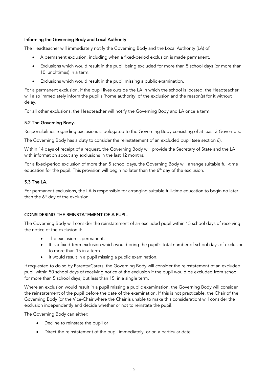## Informing the Governing Body and Local Authority

The Headteacher will immediately notify the Governing Body and the Local Authority (LA) of:

- A permanent exclusion, including when a fixed-period exclusion is made permanent.
- Exclusions which would result in the pupil being excluded for more than 5 school days (or more than 10 lunchtimes) in a term.
- Exclusions which would result in the pupil missing a public examination.

For a permanent exclusion, if the pupil lives outside the LA in which the school is located, the Headteacher will also immediately inform the pupil's 'home authority' of the exclusion and the reason(s) for it without delay.

For all other exclusions, the Headteacher will notify the Governing Body and LA once a term.

## 5.2 The Governing Body.

Responsibilities regarding exclusions is delegated to the Governing Body consisting of at least 3 Governors.

The Governing Body has a duty to consider the reinstatement of an excluded pupil (see section 6).

Within 14 days of receipt of a request, the Governing Body will provide the Secretary of State and the LA with information about any exclusions in the last 12 months.

For a fixed-period exclusion of more than 5 school days, the Governing Body will arrange suitable full-time education for the pupil. This provision will begin no later than the  $6<sup>th</sup>$  day of the exclusion.

## 5.3 The LA.

For permanent exclusions, the LA is responsible for arranging suitable full-time education to begin no later than the  $6<sup>th</sup>$  day of the exclusion.

### CONSIDERING THE REINSTATEMENT OF A PUPIL

The Governing Body will consider the reinstatement of an excluded pupil within 15 school days of receiving the notice of the exclusion if:

- The exclusion is permanent.
- It is a fixed-term exclusion which would bring the pupil's total number of school days of exclusion to more than 15 in a term.
- It would result in a pupil missing a public examination.

If requested to do so by Parents/Carers, the Governing Body will consider the reinstatement of an excluded pupil within 50 school days of receiving notice of the exclusion if the pupil would be excluded from school for more than 5 school days, but less than 15, in a single term.

Where an exclusion would result in a pupil missing a public examination, the Governing Body will consider the reinstatement of the pupil before the date of the examination. If this is not practicable, the Chair of the Governing Body (or the Vice-Chair where the Chair is unable to make this consideration) will consider the exclusion independently and decide whether or not to reinstate the pupil.

The Governing Body can either:

- Decline to reinstate the pupil or
- Direct the reinstatement of the pupil immediately, or on a particular date.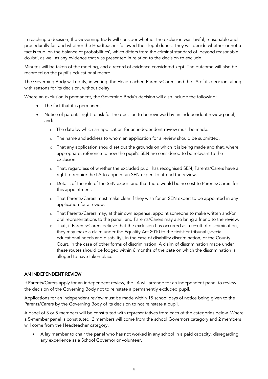In reaching a decision, the Governing Body will consider whether the exclusion was lawful, reasonable and procedurally fair and whether the Headteacher followed their legal duties. They will decide whether or not a fact is true 'on the balance of probabilities', which differs from the criminal standard of 'beyond reasonable doubt', as well as any evidence that was presented in relation to the decision to exclude.

Minutes will be taken of the meeting, and a record of evidence considered kept. The outcome will also be recorded on the pupil's educational record.

The Governing Body will notify, in writing, the Headteacher, Parents/Carers and the LA of its decision, along with reasons for its decision, without delay.

Where an exclusion is permanent, the Governing Body's decision will also include the following:

- The fact that it is permanent.
- Notice of parents' right to ask for the decision to be reviewed by an independent review panel, and:
	- o The date by which an application for an independent review must be made.
	- o The name and address to whom an application for a review should be submitted.
	- o That any application should set out the grounds on which it is being made and that, where appropriate, reference to how the pupil's SEN are considered to be relevant to the exclusion.
	- o That, regardless of whether the excluded pupil has recognised SEN, Parents/Carers have a right to require the LA to appoint an SEN expert to attend the review.
	- o Details of the role of the SEN expert and that there would be no cost to Parents/Carers for this appointment.
	- o That Parents/Carers must make clear if they wish for an SEN expert to be appointed in any application for a review.
	- o That Parents/Carers may, at their own expense, appoint someone to make written and/or oral representations to the panel, and Parents/Carers may also bring a friend to the review.
	- o That, if Parents/Carers believe that the exclusion has occurred as a result of discrimination, they may make a claim under the Equality Act 2010 to the first-tier tribunal (special educational needs and disability), in the case of disability discrimination, or the County Court, in the case of other forms of discrimination. A claim of discrimination made under these routes should be lodged within 6 months of the date on which the discrimination is alleged to have taken place.

#### AN INDEPENDENT REVIEW

If Parents/Carers apply for an independent review, the LA will arrange for an independent panel to review the decision of the Governing Body not to reinstate a permanently excluded pupil.

Applications for an independent review must be made within 15 school days of notice being given to the Parents/Carers by the Governing Body of its decision to not reinstate a pupil.

A panel of 3 or 5 members will be constituted with representatives from each of the categories below. Where a 5-member panel is constituted, 2 members will come from the school Governors category and 2 members will come from the Headteacher category.

• A lay member to chair the panel who has not worked in any school in a paid capacity, disregarding any experience as a School Governor or volunteer.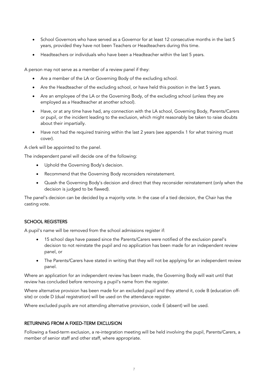- School Governors who have served as a Governor for at least 12 consecutive months in the last 5 years, provided they have not been Teachers or Headteachers during this time.
- Headteachers or individuals who have been a Headteacher within the last 5 years.

A person may not serve as a member of a review panel if they:

- Are a member of the LA or Governing Body of the excluding school.
- Are the Headteacher of the excluding school, or have held this position in the last 5 years.
- Are an employee of the LA or the Governing Body, of the excluding school (unless they are employed as a Headteacher at another school).
- Have, or at any time have had, any connection with the LA school, Governing Body, Parents/Carers or pupil, or the incident leading to the exclusion, which might reasonably be taken to raise doubts about their impartially.
- Have not had the required training within the last 2 years (see appendix 1 for what training must cover).

A clerk will be appointed to the panel.

The independent panel will decide one of the following:

- Uphold the Governing Body's decision.
- Recommend that the Governing Body reconsiders reinstatement.
- Quash the Governing Body's decision and direct that they reconsider reinstatement (only when the decision is judged to be flawed).

The panel's decision can be decided by a majority vote. In the case of a tied decision, the Chair has the casting vote.

### SCHOOL REGISTERS

A pupil's name will be removed from the school admissions register if:

- 15 school days have passed since the Parents/Carers were notified of the exclusion panel's decision to not reinstate the pupil and no application has been made for an independent review panel, or
- The Parents/Carers have stated in writing that they will not be applying for an independent review panel.

Where an application for an independent review has been made, the Governing Body will wait until that review has concluded before removing a pupil's name from the register.

Where alternative provision has been made for an excluded pupil and they attend it, code B (education offsite) or code D (dual registration) will be used on the attendance register.

Where excluded pupils are not attending alternative provision, code E (absent) will be used.

## RETURNING FROM A FIXED-TERM EXCLUSION

Following a fixed-term exclusion, a re-integration meeting will be held involving the pupil, Parents/Carers, a member of senior staff and other staff, where appropriate.